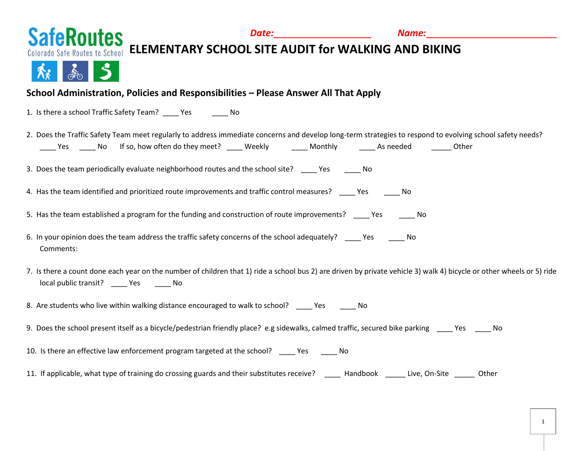

## **SafeRoutes ELEMENTARY SCHOOL SITE AUDIT for WALKING AND BIKING**



### **School Administration, Policies and Responsibilities – Please Answer All That Apply**

1. Is there a school Traffic Safety Team? \_\_\_\_ Yes \_\_\_\_ No

|     | 2. Does the Traffic Safety Team meet regularly to address immediate concerns and develop long-term strategies to respond to evolving school safety needs? |        |         |           |       |  |
|-----|-----------------------------------------------------------------------------------------------------------------------------------------------------------|--------|---------|-----------|-------|--|
| Yes | No If so, how often do they meet?                                                                                                                         | Weekly | Monthly | As needed | Other |  |

3. Does the team periodically evaluate neighborhood routes and the school site? \_\_\_\_\_ Yes \_\_\_\_\_\_ No

4. Has the team identified and prioritized route improvements and traffic control measures? \_\_\_\_\_ Yes \_\_\_\_\_\_ No

5. Has the team established a program for the funding and construction of route improvements? \_\_\_\_\_ Yes \_\_\_\_\_\_ No

- 6. In your opinion does the team address the traffic safety concerns of the school adequately? Thes The No Comments:
- 7. Is there a count done each year on the number of children that 1) ride a school bus 2) are driven by private vehicle 3) walk 4) bicycle or other wheels or 5) ride local public transit? \_\_\_\_ Yes \_\_\_\_ No

8. Are students who live within walking distance encouraged to walk to school? \_\_\_\_\_ Yes \_\_\_\_\_\_\_ No

9. Does the school present itself as a bicycle/pedestrian friendly place? e.g sidewalks, calmed traffic, secured bike parking \_\_\_\_ Yes \_\_\_\_ No

10. Is there an effective law enforcement program targeted at the school? Yes No

11. If applicable, what type of training do crossing guards and their substitutes receive? Handbook Live, On-Site Other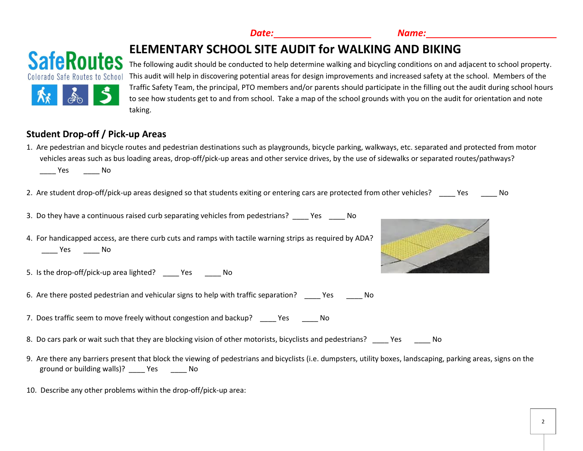2

 *Date: Name:*

# **ELEMENTARY SCHOOL SITE AUDIT for WALKING AND BIKING**

The following audit should be conducted to help determine walking and bicycling conditions on and adjacent to school property. This audit will help in discovering potential areas for design improvements and increased safety at the school. Members of the Traffic Safety Team, the principal, PTO members and/or parents should participate in the filling out the audit during school hours to see how students get to and from school. Take a map of the school grounds with you on the audit for orientation and note taking.

## **Student Drop-off / Pick-up Areas**

- 1. Are pedestrian and bicycle routes and pedestrian destinations such as playgrounds, bicycle parking, walkways, etc. separated and protected from motor vehicles areas such as bus loading areas, drop-off/pick-up areas and other service drives, by the use of sidewalks or separated routes/pathways? \_\_\_\_ Yes \_\_\_\_ No
- 2. Are student drop-off/pick-up areas designed so that students exiting or entering cars are protected from other vehicles? Yes No
- 3. Do they have a continuous raised curb separating vehicles from pedestrians? \_\_\_\_ Yes \_\_\_\_ No
- 4. For handicapped access, are there curb cuts and ramps with tactile warning strips as required by ADA? \_\_\_\_ Yes \_\_\_\_ No
- 5. Is the drop-off/pick-up area lighted? \_\_\_\_ Yes \_\_\_\_ No
- 6. Are there posted pedestrian and vehicular signs to help with traffic separation? The Ses The No
- 7. Does traffic seem to move freely without congestion and backup? The Mo
- 8. Do cars park or wait such that they are blocking vision of other motorists, bicyclists and pedestrians? \_\_\_\_ Yes \_\_\_\_ No
- 9. Are there any barriers present that block the viewing of pedestrians and bicyclists (i.e. dumpsters, utility boxes, landscaping, parking areas, signs on the ground or building walls)? \_\_\_\_ Yes \_\_\_\_\_ No
- 10. Describe any other problems within the drop-off/pick-up area:





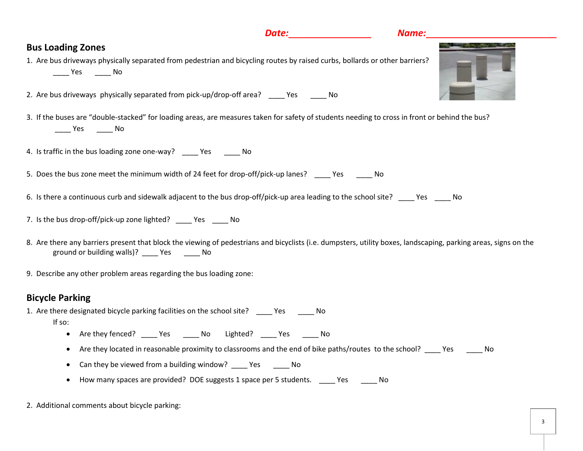### **Bus Loading Zones**

- 1. Are bus driveways physically separated from pedestrian and bicycling routes by raised curbs, bollards or other barriers? \_\_\_\_ Yes \_\_\_\_ No
- 2. Are bus driveways physically separated from pick-up/drop-off area? The Yes The No
- 3. If the buses are "double-stacked" for loading areas, are measures taken for safety of students needing to cross in front or behind the bus? \_\_\_\_ Yes \_\_\_\_ No
- 4. Is traffic in the bus loading zone one-way? Yes No
- 5. Does the bus zone meet the minimum width of 24 feet for drop-off/pick-up lanes? \_\_\_\_ Yes \_\_\_\_\_ No
- 6. Is there a continuous curb and sidewalk adjacent to the bus drop-off/pick-up area leading to the school site? Yes No
- 7. Is the bus drop-off/pick-up zone lighted? Yes No
- 8. Are there any barriers present that block the viewing of pedestrians and bicyclists (i.e. dumpsters, utility boxes, landscaping, parking areas, signs on the ground or building walls)? \_\_\_\_ Yes \_\_\_\_\_ No
- 9. Describe any other problem areas regarding the bus loading zone:

#### **Bicycle Parking**

- 1. Are there designated bicycle parking facilities on the school site? The Yes The No If so:
	- Are they fenced? Yes No Lighted? Yes No
	- Are they located in reasonable proximity to classrooms and the end of bike paths/routes to the school? \_\_\_\_ Yes \_\_\_\_\_ No
	- Can they be viewed from a building window? \_\_\_\_\_ Yes \_\_\_\_\_\_\_ No
	- How many spaces are provided? DOE suggests 1 space per 5 students. Yes Wo
- 2. Additional comments about bicycle parking:



#### *Date: Name:*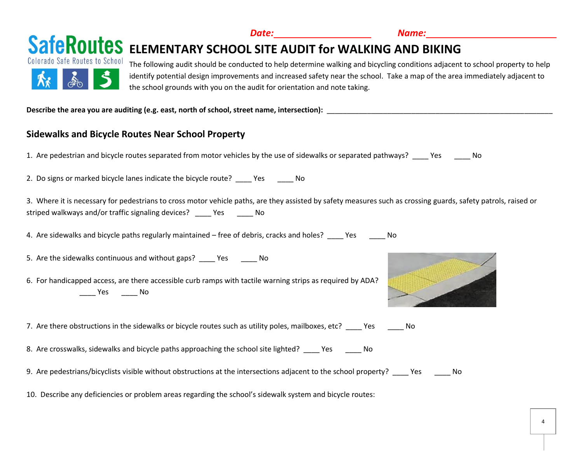

Describe the area you are auditing (e.g. east, north of school, street name, intersection):

### **Sidewalks and Bicycle Routes Near School Property**

1. Are pedestrian and bicycle routes separated from motor vehicles by the use of sidewalks or separated pathways? \_\_\_\_ Yes \_\_\_\_ No

2. Do signs or marked bicycle lanes indicate the bicycle route? The State of No

3. Where it is necessary for pedestrians to cross motor vehicle paths, are they assisted by safety measures such as crossing guards, safety patrols, raised or striped walkways and/or traffic signaling devices? \_\_\_\_ Yes \_\_\_\_\_ No

4. Are sidewalks and bicycle paths regularly maintained – free of debris, cracks and holes? \_\_\_\_ Yes \_\_\_\_\_ No

5. Are the sidewalks continuous and without gaps? Yes No

6. For handicapped access, are there accessible curb ramps with tactile warning strips as required by ADA? \_\_\_\_ Yes \_\_\_\_ No

7. Are there obstructions in the sidewalks or bicycle routes such as utility poles, mailboxes, etc? Yes No

8. Are crosswalks, sidewalks and bicycle paths approaching the school site lighted? The State Theory No

9. Are pedestrians/bicyclists visible without obstructions at the intersections adjacent to the school property? \_\_\_\_ Yes \_\_\_\_ No

10. Describe any deficiencies or problem areas regarding the school's sidewalk system and bicycle routes: